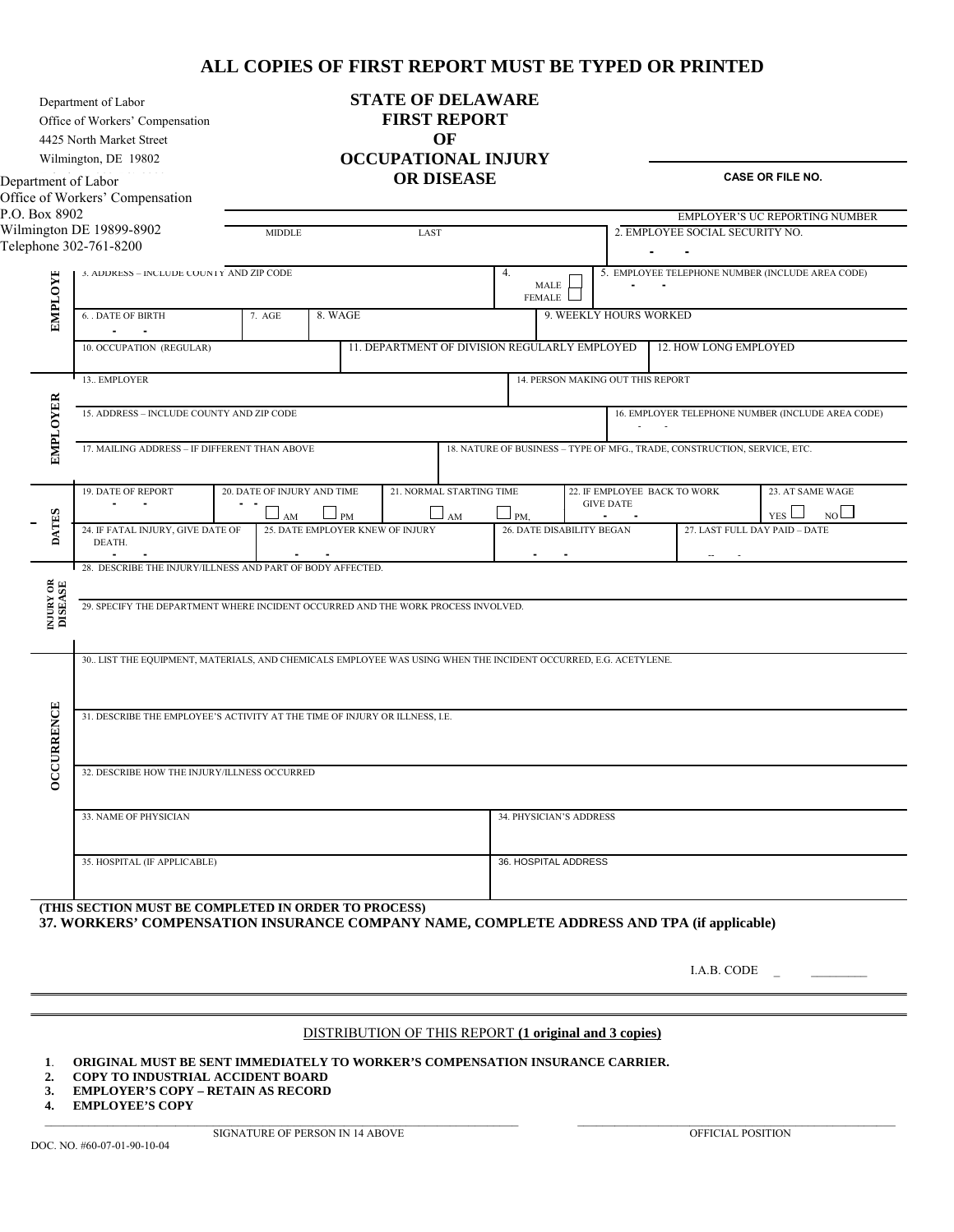#### **ALL COPIES OF FIRST REPORT MUST BE TYPED OR PRINTED**

Department of Labor

Office of Workers' Compensation

4425 North Market Street

Wilmington, DE 19802

Department of Labor Office of Workers' Compensation  $P.O$ Wil

**STATE OF DELAWARE FIRST REPORT OF OCCUPATIONAL INJURY OR DISEASE**

 **CASE OR FILE NO.** 

| <b>EMPLOYE</b>               |                                                                                                                              |  |                                                                      |        |                                  |                                               |                                                   |                                           |                                                              |                       |                                                         |  |
|------------------------------|------------------------------------------------------------------------------------------------------------------------------|--|----------------------------------------------------------------------|--------|----------------------------------|-----------------------------------------------|---------------------------------------------------|-------------------------------------------|--------------------------------------------------------------|-----------------------|---------------------------------------------------------|--|
|                              |                                                                                                                              |  | Wilmington DE 19899-8902<br>LAST<br>MIDDLE<br>Telephone 302-761-8200 |        |                                  |                                               |                                                   | 2. EMPLOYEE SOCIAL SECURITY NO.<br>$\sim$ |                                                              |                       |                                                         |  |
|                              |                                                                                                                              |  |                                                                      |        |                                  |                                               |                                                   |                                           |                                                              |                       |                                                         |  |
|                              | 3. ADDRESS - INCLUDE COUNTY AND ZIP CODE                                                                                     |  |                                                                      |        |                                  |                                               | 4.                                                | MALE<br>FEMALE                            | 5. EMPLOYEE TELEPHONE NUMBER (INCLUDE AREA CODE)             |                       |                                                         |  |
|                              | 8. WAGE<br><b>6. . DATE OF BIRTH</b><br>7. AGE                                                                               |  |                                                                      |        |                                  |                                               | 9. WEEKLY HOURS WORKED                            |                                           |                                                              |                       |                                                         |  |
|                              | 10. OCCUPATION (REGULAR)                                                                                                     |  |                                                                      |        |                                  | 11. DEPARTMENT OF DIVISION REGULARLY EMPLOYED |                                                   |                                           |                                                              | 12. HOW LONG EMPLOYED |                                                         |  |
|                              | 13. EMPLOYER                                                                                                                 |  |                                                                      |        |                                  |                                               | 14. PERSON MAKING OUT THIS REPORT                 |                                           |                                                              |                       |                                                         |  |
| <b>EMPLOYER</b>              | 15. ADDRESS - INCLUDE COUNTY AND ZIP CODE                                                                                    |  |                                                                      |        |                                  |                                               | 16. EMPLOYER TELEPHONE NUMBER (INCLUDE AREA CODE) |                                           |                                                              |                       |                                                         |  |
|                              | 17. MAILING ADDRESS - IF DIFFERENT THAN ABOVE<br>18. NATURE OF BUSINESS - TYPE OF MFG., TRADE, CONSTRUCTION, SERVICE, ETC.   |  |                                                                      |        |                                  |                                               |                                                   |                                           |                                                              |                       |                                                         |  |
|                              | 19. DATE OF REPORT<br>20. DATE OF INJURY AND TIME                                                                            |  |                                                                      |        |                                  | 21. NORMAL STARTING TIME                      | 22. IF EMPLOYEE BACK TO WORK<br><b>GIVE DATE</b>  |                                           |                                                              |                       | 23. AT SAME WAGE                                        |  |
| <b>DATES</b>                 | 24. IF FATAL INJURY, GIVE DATE OF<br>DEATH.                                                                                  |  | AM                                                                   | $-$ PM | 25. DATE EMPLOYER KNEW OF INJURY | AM                                            | $\Box$ PM,                                        | 26. DATE DISABILITY BEGAN                 | $\sim$                                                       |                       | NO<br>YES <sup>1</sup><br>27. LAST FULL DAY PAID - DATE |  |
|                              | $\blacksquare$<br>$\blacksquare$<br>$\sim$<br>$\sim$<br>$\sim$<br>28. DESCRIBE THE INJURY/ILLNESS AND PART OF BODY AFFECTED. |  |                                                                      |        |                                  |                                               |                                                   |                                           |                                                              |                       |                                                         |  |
|                              |                                                                                                                              |  |                                                                      |        |                                  |                                               |                                                   |                                           |                                                              |                       |                                                         |  |
| <b>INJURY OR<br/>DISEASE</b> | 29. SPECIFY THE DEPARTMENT WHERE INCIDENT OCCURRED AND THE WORK PROCESS INVOLVED.                                            |  |                                                                      |        |                                  |                                               |                                                   |                                           |                                                              |                       |                                                         |  |
|                              | 30. LIST THE EQUIPMENT, MATERIALS, AND CHEMICALS EMPLOYEE WAS USING WHEN THE INCIDENT OCCURRED, E.G. ACETYLENE.              |  |                                                                      |        |                                  |                                               |                                                   |                                           |                                                              |                       |                                                         |  |
|                              |                                                                                                                              |  |                                                                      |        |                                  |                                               |                                                   |                                           |                                                              |                       |                                                         |  |
|                              | 31. DESCRIBE THE EMPLOYEE'S ACTIVITY AT THE TIME OF INJURY OR ILLNESS, I.E.                                                  |  |                                                                      |        |                                  |                                               |                                                   |                                           |                                                              |                       |                                                         |  |
|                              |                                                                                                                              |  |                                                                      |        |                                  |                                               |                                                   |                                           |                                                              |                       |                                                         |  |
| <b>OCCURRENCE</b>            | 32. DESCRIBE HOW THE INJURY/ILLNESS OCCURRED                                                                                 |  |                                                                      |        |                                  |                                               |                                                   |                                           |                                                              |                       |                                                         |  |
|                              | 33. NAME OF PHYSICIAN                                                                                                        |  |                                                                      |        |                                  | 34. PHYSICIAN'S ADDRESS                       |                                                   |                                           |                                                              |                       |                                                         |  |
|                              |                                                                                                                              |  |                                                                      |        |                                  |                                               |                                                   |                                           |                                                              |                       |                                                         |  |
|                              | 35. HOSPITAL (IF APPLICABLE)                                                                                                 |  |                                                                      |        |                                  | 36. HOSPITAL ADDRESS                          |                                                   |                                           |                                                              |                       |                                                         |  |
|                              | (THIS SECTION MUST BE COMPLETED IN ORDER TO PROCESS)                                                                         |  |                                                                      |        |                                  |                                               |                                                   |                                           |                                                              |                       |                                                         |  |
|                              | 37. WORKERS' COMPENSATION INSURANCE COMPANY NAME, COMPLETE ADDRESS AND TPA (if applicable)                                   |  |                                                                      |        |                                  |                                               |                                                   |                                           |                                                              |                       |                                                         |  |
|                              |                                                                                                                              |  |                                                                      |        |                                  |                                               |                                                   |                                           |                                                              |                       |                                                         |  |
|                              |                                                                                                                              |  |                                                                      |        |                                  |                                               |                                                   |                                           |                                                              | I.A.B. CODE           |                                                         |  |
|                              |                                                                                                                              |  |                                                                      |        |                                  |                                               |                                                   |                                           | <b>DISTRIBUTION OF THIS REPORT (1 original and 3 copies)</b> |                       |                                                         |  |
| 1.                           | ORIGINAL MUST BE SENT IMMEDIATELY TO WORKER'S COMPENSATION INSURANCE CARRIER.                                                |  |                                                                      |        |                                  |                                               |                                                   |                                           |                                                              |                       |                                                         |  |
| 2.                           | COPY TO INDUSTRIAL ACCIDENT BOARD<br><b>EMPLOYER'S COPY - RETAIN AS RECORD</b>                                               |  |                                                                      |        |                                  |                                               |                                                   |                                           |                                                              |                       |                                                         |  |
| 3.<br>4.                     | <b>EMPLOYEE'S COPY</b>                                                                                                       |  |                                                                      |        |                                  |                                               |                                                   |                                           |                                                              |                       |                                                         |  |

- **2. COPY TO INDUSTRIAL ACCIDENT BOARD**
- **3. EMPLOYER'S COPY RETAIN AS RECORD**
- **4. EMPLOYEE'S COPY**  $\_$  , and the state of the state of the state of the state of the state of the state of the state of the state of the state of the state of the state of the state of the state of the state of the state of the state of the